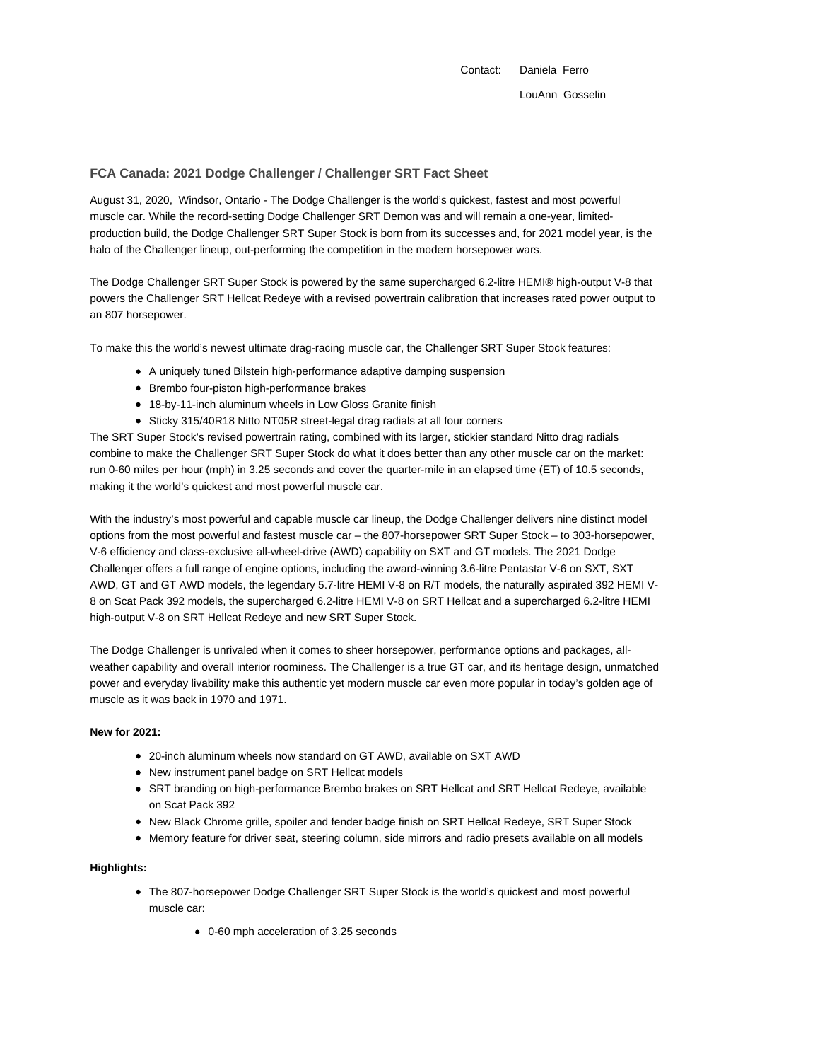Contact: Daniela Ferro LouAnn Gosselin

# **FCA Canada: 2021 Dodge Challenger / Challenger SRT Fact Sheet**

August 31, 2020, Windsor, Ontario - The Dodge Challenger is the world's quickest, fastest and most powerful muscle car. While the record-setting Dodge Challenger SRT Demon was and will remain a one-year, limitedproduction build, the Dodge Challenger SRT Super Stock is born from its successes and, for 2021 model year, is the halo of the Challenger lineup, out-performing the competition in the modern horsepower wars.

The Dodge Challenger SRT Super Stock is powered by the same supercharged 6.2-litre HEMI® high-output V-8 that powers the Challenger SRT Hellcat Redeye with a revised powertrain calibration that increases rated power output to an 807 horsepower.

To make this the world's newest ultimate drag-racing muscle car, the Challenger SRT Super Stock features:

- A uniquely tuned Bilstein high-performance adaptive damping suspension
- Brembo four-piston high-performance brakes
- 18-by-11-inch aluminum wheels in Low Gloss Granite finish
- Sticky 315/40R18 Nitto NT05R street-legal drag radials at all four corners

The SRT Super Stock's revised powertrain rating, combined with its larger, stickier standard Nitto drag radials combine to make the Challenger SRT Super Stock do what it does better than any other muscle car on the market: run 0-60 miles per hour (mph) in 3.25 seconds and cover the quarter-mile in an elapsed time (ET) of 10.5 seconds, making it the world's quickest and most powerful muscle car.

With the industry's most powerful and capable muscle car lineup, the Dodge Challenger delivers nine distinct model options from the most powerful and fastest muscle car – the 807-horsepower SRT Super Stock – to 303-horsepower, V-6 efficiency and class-exclusive all-wheel-drive (AWD) capability on SXT and GT models. The 2021 Dodge Challenger offers a full range of engine options, including the award-winning 3.6-litre Pentastar V-6 on SXT, SXT AWD, GT and GT AWD models, the legendary 5.7-litre HEMI V-8 on R/T models, the naturally aspirated 392 HEMI V-8 on Scat Pack 392 models, the supercharged 6.2-litre HEMI V-8 on SRT Hellcat and a supercharged 6.2-litre HEMI high-output V-8 on SRT Hellcat Redeye and new SRT Super Stock.

The Dodge Challenger is unrivaled when it comes to sheer horsepower, performance options and packages, allweather capability and overall interior roominess. The Challenger is a true GT car, and its heritage design, unmatched power and everyday livability make this authentic yet modern muscle car even more popular in today's golden age of muscle as it was back in 1970 and 1971.

### **New for 2021:**

- 20-inch aluminum wheels now standard on GT AWD, available on SXT AWD
- New instrument panel badge on SRT Hellcat models
- SRT branding on high-performance Brembo brakes on SRT Hellcat and SRT Hellcat Redeye, available on Scat Pack 392
- New Black Chrome grille, spoiler and fender badge finish on SRT Hellcat Redeye, SRT Super Stock
- Memory feature for driver seat, steering column, side mirrors and radio presets available on all models

#### **Highlights:**

- The 807-horsepower Dodge Challenger SRT Super Stock is the world's quickest and most powerful muscle car:
	- 0-60 mph acceleration of 3.25 seconds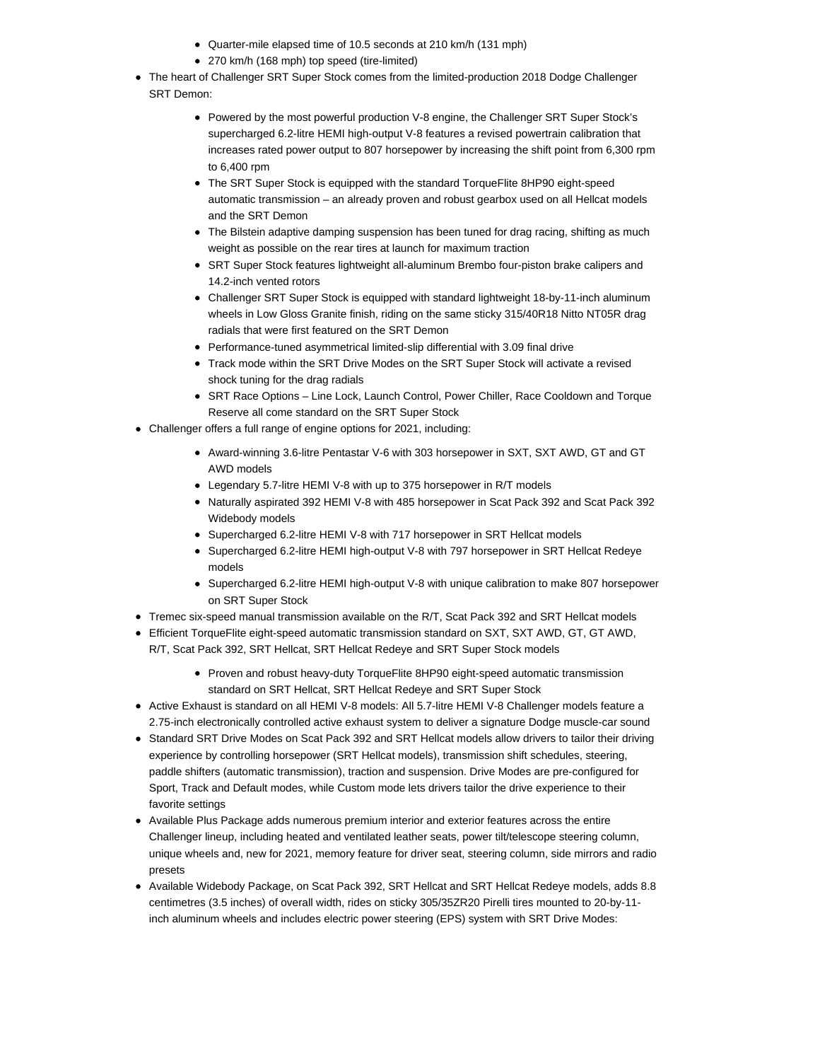- Quarter-mile elapsed time of 10.5 seconds at 210 km/h (131 mph)
- 270 km/h (168 mph) top speed (tire-limited)
- The heart of Challenger SRT Super Stock comes from the limited-production 2018 Dodge Challenger SRT Demon:
	- Powered by the most powerful production V-8 engine, the Challenger SRT Super Stock's supercharged 6.2-litre HEMI high-output V-8 features a revised powertrain calibration that increases rated power output to 807 horsepower by increasing the shift point from 6,300 rpm to 6,400 rpm
	- The SRT Super Stock is equipped with the standard TorqueFlite 8HP90 eight-speed automatic transmission – an already proven and robust gearbox used on all Hellcat models and the SRT Demon
	- The Bilstein adaptive damping suspension has been tuned for drag racing, shifting as much weight as possible on the rear tires at launch for maximum traction
	- SRT Super Stock features lightweight all-aluminum Brembo four-piston brake calipers and 14.2-inch vented rotors
	- Challenger SRT Super Stock is equipped with standard lightweight 18-by-11-inch aluminum wheels in Low Gloss Granite finish, riding on the same sticky 315/40R18 Nitto NT05R drag radials that were first featured on the SRT Demon
	- Performance-tuned asymmetrical limited-slip differential with 3.09 final drive
	- Track mode within the SRT Drive Modes on the SRT Super Stock will activate a revised shock tuning for the drag radials
	- SRT Race Options Line Lock, Launch Control, Power Chiller, Race Cooldown and Torque Reserve all come standard on the SRT Super Stock
- Challenger offers a full range of engine options for 2021, including:
	- Award-winning 3.6-litre Pentastar V-6 with 303 horsepower in SXT, SXT AWD, GT and GT AWD models
	- Legendary 5.7-litre HEMI V-8 with up to 375 horsepower in R/T models
	- Naturally aspirated 392 HEMI V-8 with 485 horsepower in Scat Pack 392 and Scat Pack 392 Widebody models
	- Supercharged 6.2-litre HEMI V-8 with 717 horsepower in SRT Hellcat models
	- Supercharged 6.2-litre HEMI high-output V-8 with 797 horsepower in SRT Hellcat Redeye models
	- Supercharged 6.2-litre HEMI high-output V-8 with unique calibration to make 807 horsepower on SRT Super Stock
- Tremec six-speed manual transmission available on the R/T, Scat Pack 392 and SRT Hellcat models
- Efficient TorqueFlite eight-speed automatic transmission standard on SXT, SXT AWD, GT, GT AWD, R/T, Scat Pack 392, SRT Hellcat, SRT Hellcat Redeye and SRT Super Stock models
	- Proven and robust heavy-duty TorqueFlite 8HP90 eight-speed automatic transmission standard on SRT Hellcat, SRT Hellcat Redeye and SRT Super Stock
- Active Exhaust is standard on all HEMI V-8 models: All 5.7-litre HEMI V-8 Challenger models feature a 2.75-inch electronically controlled active exhaust system to deliver a signature Dodge muscle-car sound
- Standard SRT Drive Modes on Scat Pack 392 and SRT Hellcat models allow drivers to tailor their driving experience by controlling horsepower (SRT Hellcat models), transmission shift schedules, steering, paddle shifters (automatic transmission), traction and suspension. Drive Modes are pre-configured for Sport, Track and Default modes, while Custom mode lets drivers tailor the drive experience to their favorite settings
- Available Plus Package adds numerous premium interior and exterior features across the entire Challenger lineup, including heated and ventilated leather seats, power tilt/telescope steering column, unique wheels and, new for 2021, memory feature for driver seat, steering column, side mirrors and radio presets
- Available Widebody Package, on Scat Pack 392, SRT Hellcat and SRT Hellcat Redeye models, adds 8.8 centimetres (3.5 inches) of overall width, rides on sticky 305/35ZR20 Pirelli tires mounted to 20-by-11 inch aluminum wheels and includes electric power steering (EPS) system with SRT Drive Modes: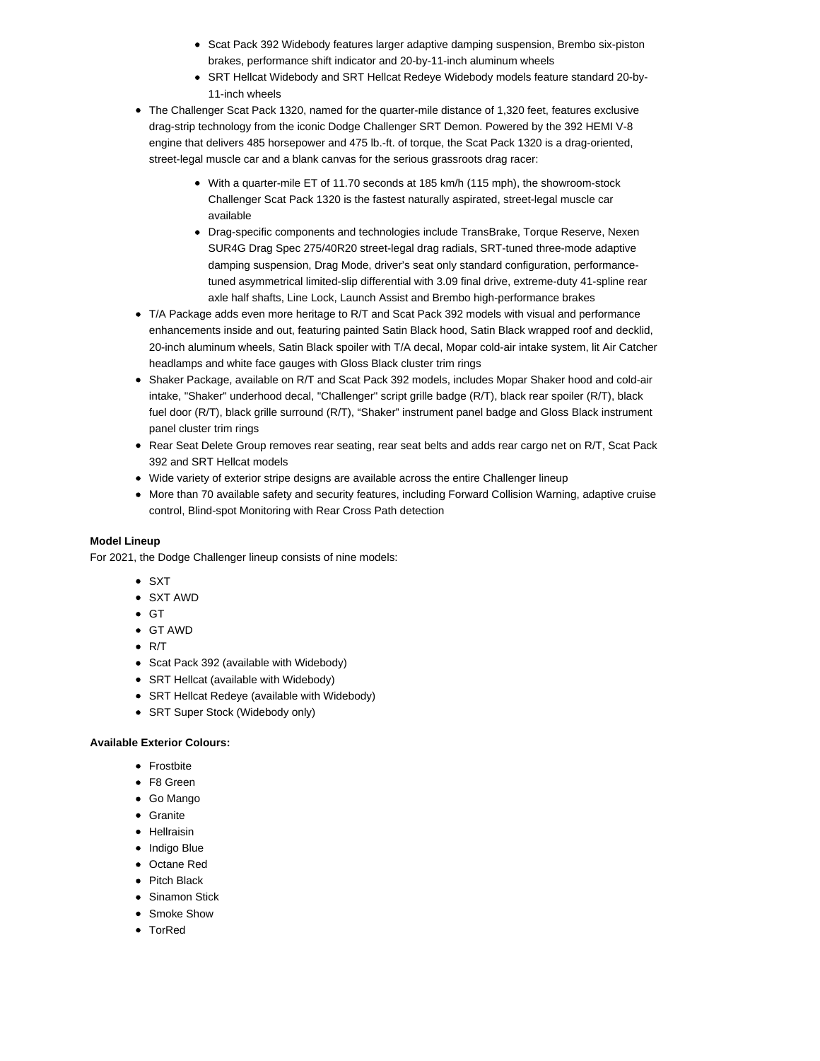- Scat Pack 392 Widebody features larger adaptive damping suspension, Brembo six-piston brakes, performance shift indicator and 20-by-11-inch aluminum wheels
- SRT Hellcat Widebody and SRT Hellcat Redeye Widebody models feature standard 20-by-11-inch wheels
- The Challenger Scat Pack 1320, named for the quarter-mile distance of 1,320 feet, features exclusive drag-strip technology from the iconic Dodge Challenger SRT Demon. Powered by the 392 HEMI V-8 engine that delivers 485 horsepower and 475 lb.-ft. of torque, the Scat Pack 1320 is a drag-oriented, street-legal muscle car and a blank canvas for the serious grassroots drag racer:
	- With a quarter-mile ET of 11.70 seconds at 185 km/h (115 mph), the showroom-stock Challenger Scat Pack 1320 is the fastest naturally aspirated, street-legal muscle car available
	- Drag-specific components and technologies include TransBrake, Torque Reserve, Nexen SUR4G Drag Spec 275/40R20 street-legal drag radials, SRT-tuned three-mode adaptive damping suspension, Drag Mode, driver's seat only standard configuration, performancetuned asymmetrical limited-slip differential with 3.09 final drive, extreme-duty 41-spline rear axle half shafts, Line Lock, Launch Assist and Brembo high-performance brakes
- T/A Package adds even more heritage to R/T and Scat Pack 392 models with visual and performance enhancements inside and out, featuring painted Satin Black hood, Satin Black wrapped roof and decklid, 20-inch aluminum wheels, Satin Black spoiler with T/A decal, Mopar cold-air intake system, lit Air Catcher headlamps and white face gauges with Gloss Black cluster trim rings
- Shaker Package, available on R/T and Scat Pack 392 models, includes Mopar Shaker hood and cold-air intake, "Shaker" underhood decal, "Challenger" script grille badge (R/T), black rear spoiler (R/T), black fuel door (R/T), black grille surround (R/T), "Shaker" instrument panel badge and Gloss Black instrument panel cluster trim rings
- Rear Seat Delete Group removes rear seating, rear seat belts and adds rear cargo net on R/T, Scat Pack 392 and SRT Hellcat models
- Wide variety of exterior stripe designs are available across the entire Challenger lineup
- More than 70 available safety and security features, including Forward Collision Warning, adaptive cruise control, Blind-spot Monitoring with Rear Cross Path detection

## **Model Lineup**

For 2021, the Dodge Challenger lineup consists of nine models:

- $\bullet$  SXT
- SXT AWD
- $\bullet$  GT
- GT AWD
- $\bullet$  R/T
- Scat Pack 392 (available with Widebody)
- SRT Hellcat (available with Widebody)
- SRT Hellcat Redeye (available with Widebody)
- SRT Super Stock (Widebody only)

### **Available Exterior Colours:**

- Frostbite
- F8 Green
- Go Mango
- Granite
- Hellraisin
- Indigo Blue
- Octane Red
- Pitch Black
- **Sinamon Stick**
- Smoke Show
- TorRed